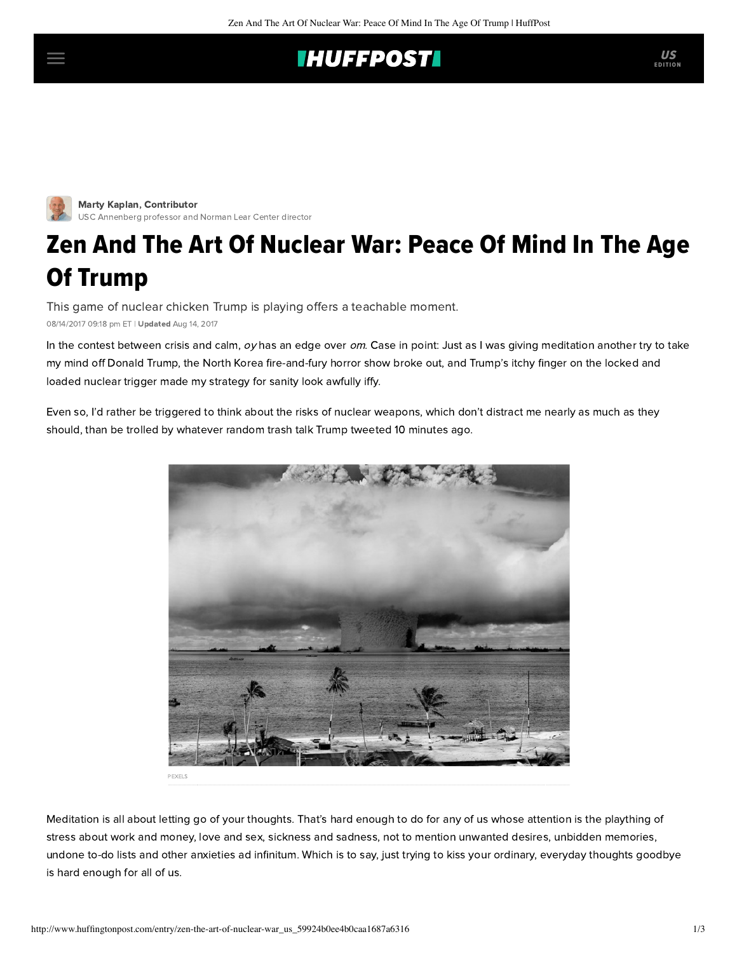## **IHUFFPOSTI**



Marty Kaplan, Contributor [USC Annenberg professor and Norman Lear Center director](http://www.huffingtonpost.com/author/marty-kaplan)

## Zen And The Art Of Nuclear War: Peace Of Mind In The Age Of Trump

This game of nuclear chicken Trump is playing offers a teachable moment.

08/14/2017 09:18 pm ET | Updated Aug 14, 2017

In the contest between crisis and calm,  $oy$  has an edge over  $om$ . Case in point: Just as I was giving meditation another try to take my mind off Donald Trump, the North Korea fire-and-fury horror show broke out, and Trump's itchy finger on the locked and loaded nuclear trigger made my strategy for sanity look awfully iffy.

Even so, I'd rather be triggered to think about the risks of nuclear weapons, which don't distract me nearly as much as they should, than be trolled by whatever random trash talk Trump tweeted 10 minutes ago.



Meditation is all about letting go of your thoughts. That's hard enough to do for any of us whose attention is the plaything of stress about work and money, love and sex, sickness and sadness, not to mention unwanted desires, unbidden memories, undone to-do lists and other anxieties ad infinitum. Which is to say, just trying to kiss your ordinary, everyday thoughts goodbye is hard enough for all of us.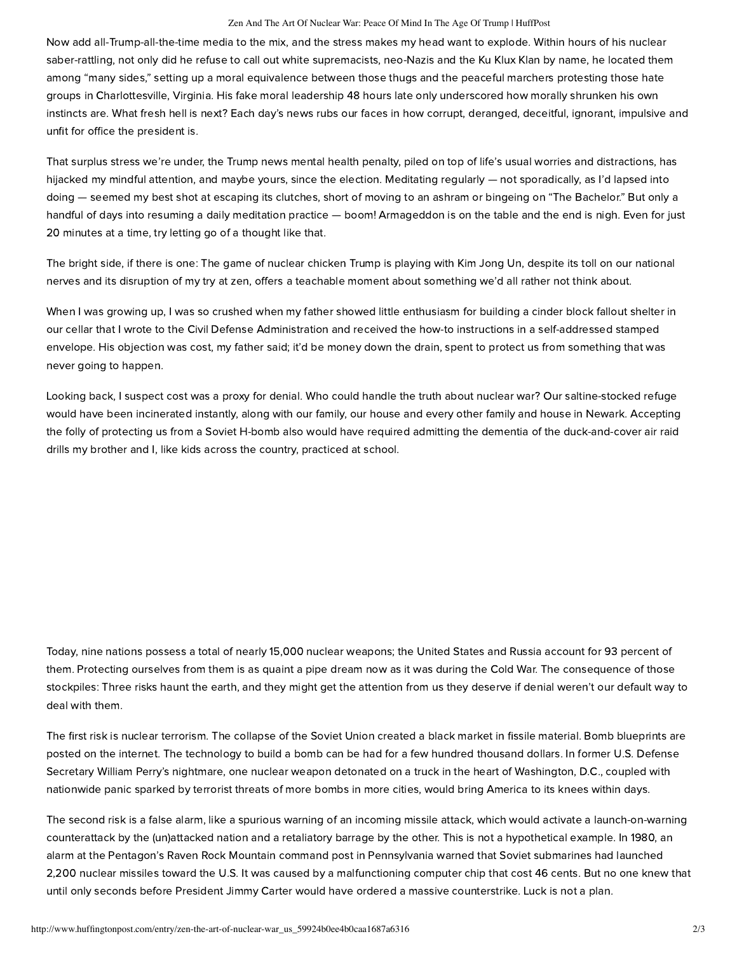## Zen And The Art Of Nuclear War: Peace Of Mind In The Age Of Trump | HuffPost

Now add all-Trump-all-the-time media to the mix, and the stress makes my head want to explode. Within hours of his nuclear saber-rattling, not only did he refuse to call out white supremacists, neo-Nazis and the Ku Klux Klan by name, he located them among "many sides," setting up a moral equivalence between those thugs and the peaceful marchers protesting those hate groups in Charlottesville, Virginia. His fake moral leadership 48 hours late only underscored how morally shrunken his own instincts are. What fresh hell is next? Each day's news rubs our faces in how corrupt, deranged, deceitful, ignorant, impulsive and unfit for office the president is.

That surplus stress we're under, the Trump news mental health penalty, piled on top of life's usual worries and distractions, has hijacked my mindful attention, and maybe yours, since the election. Meditating regularly — not sporadically, as I'd lapsed into doing — seemed my best shot at escaping its clutches, short of moving to an ashram or bingeing on "The Bachelor." But only a handful of days into resuming a daily meditation practice — boom! Armageddon is on the table and the end is nigh. Even for just 20 minutes at a time, try letting go of a thought like that.

The bright side, if there is one: The game of nuclear chicken Trump is playing with Kim Jong Un, despite its toll on our national nerves and its disruption of my try at zen, offers a teachable moment about something we'd all rather not think about.

When I was growing up, I was so crushed when my father showed little enthusiasm for building a cinder block fallout shelter in our cellar that I wrote to the Civil Defense Administration and received the how-to instructions in a self-addressed stamped envelope. His objection was cost, my father said; it'd be money down the drain, spent to protect us from something that was never going to happen.

Looking back, I suspect cost was a proxy for denial. Who could handle the truth about nuclear war? Our saltine-stocked refuge would have been incinerated instantly, along with our family, our house and every other family and house in Newark. Accepting the folly of protecting us from a Soviet H-bomb also would have required admitting the dementia of the duck-and-cover air raid drills my brother and I, like kids across the country, practiced at school.

Today, nine nations possess a total of nearly 15,000 nuclear weapons; the United States and Russia account for 93 percent of them. Protecting ourselves from them is as quaint a pipe dream now as it was during the Cold War. The consequence of those stockpiles: Three risks haunt the earth, and they might get the attention from us they deserve if denial weren't our default way to deal with them.

The first risk is nuclear terrorism. The collapse of the Soviet Union created a black market in fissile material. Bomb blueprints are posted on the internet. The technology to build a bomb can be had for a few hundred thousand dollars. In former U.S. Defense Secretary William Perry's nightmare, one nuclear weapon detonated on a truck in the heart of Washington, D.C., coupled with nationwide panic sparked by terrorist threats of more bombs in more cities, would bring America to its knees within days.

The second risk is a false alarm, like a spurious warning of an incoming missile attack, which would activate a launch-on-warning counterattack by the (un)attacked nation and a retaliatory barrage by the other. This is not a hypothetical example. In 1980, an alarm at the Pentagon's Raven Rock Mountain command post in Pennsylvania warned that Soviet submarines had launched 2,200 nuclear missiles toward the U.S. It was caused by a malfunctioning computer chip that cost 46 cents. But no one knew that until only seconds before President Jimmy Carter would have ordered a massive counterstrike. Luck is not a plan.